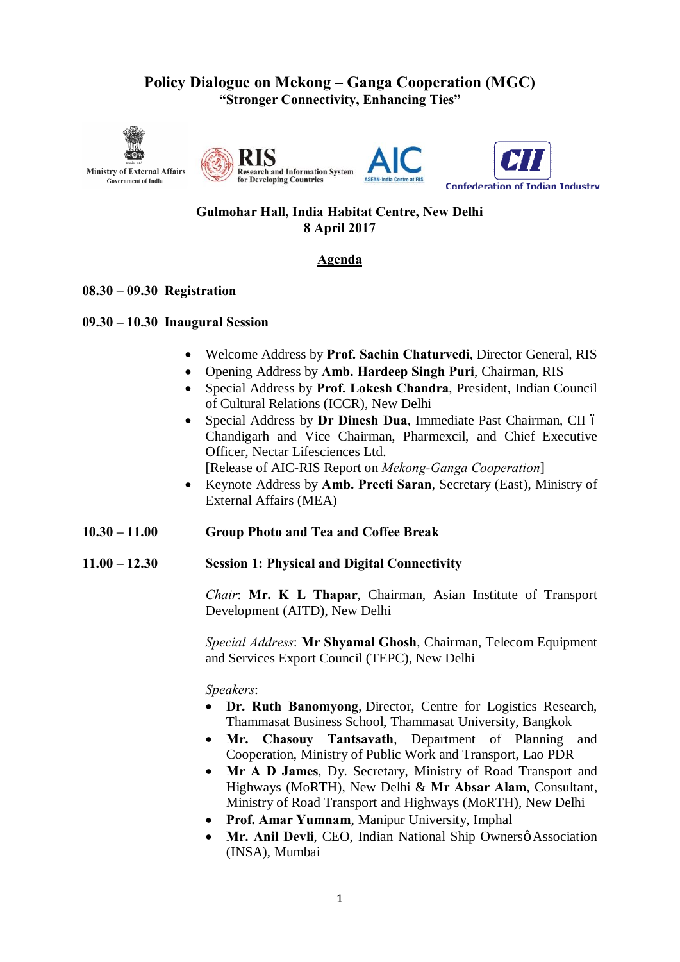# **Policy Dialogue on Mekong – Ganga Cooperation (MGC) "Stronger Connectivity, Enhancing Ties"**









# **Gulmohar Hall, India Habitat Centre, New Delhi 8 April 2017**

# **Agenda**

# **08.30 – 09.30 Registration**

### **09.30 – 10.30 Inaugural Session**

- · Welcome Address by **Prof. Sachin Chaturvedi**, Director General, RIS
- · Opening Address by **Amb. Hardeep Singh Puri**, Chairman, RIS
- · Special Address by **Prof. Lokesh Chandra**, President, Indian Council of Cultural Relations (ICCR), New Delhi
- Special Address by **Dr Dinesh Dua**, Immediate Past Chairman, CII 6 Chandigarh and Vice Chairman, Pharmexcil, and Chief Executive Officer, Nectar Lifesciences Ltd. [Release of AIC-RIS Report on *Mekong-Ganga Cooperation*]
- · Keynote Address by **Amb. Preeti Saran**, Secretary (East), Ministry of External Affairs (MEA)
- **10.30 – 11.00 Group Photo and Tea and Coffee Break**
- **11.00 – 12.30 Session 1: Physical and Digital Connectivity**

*Chair*: **Mr. K L Thapar**, Chairman, Asian Institute of Transport Development (AITD), New Delhi

*Special Address*: **Mr Shyamal Ghosh**, Chairman, Telecom Equipment and Services Export Council (TEPC), New Delhi

*Speakers*:

- · **Dr. Ruth Banomyong**, Director, Centre for Logistics Research, Thammasat Business School, Thammasat University, Bangkok
- · **Mr. Chasouy Tantsavath**, Department of Planning and Cooperation, Ministry of Public Work and Transport, Lao PDR
- · **Mr A D James**, Dy. Secretary, Ministry of Road Transport and Highways (MoRTH), New Delhi & **Mr Absar Alam**, Consultant, Ministry of Road Transport and Highways (MoRTH), New Delhi
- · **Prof. Amar Yumnam**, Manipur University, Imphal
- Mr. Anil Devli, CEO, Indian National Ship Ownersø Association (INSA), Mumbai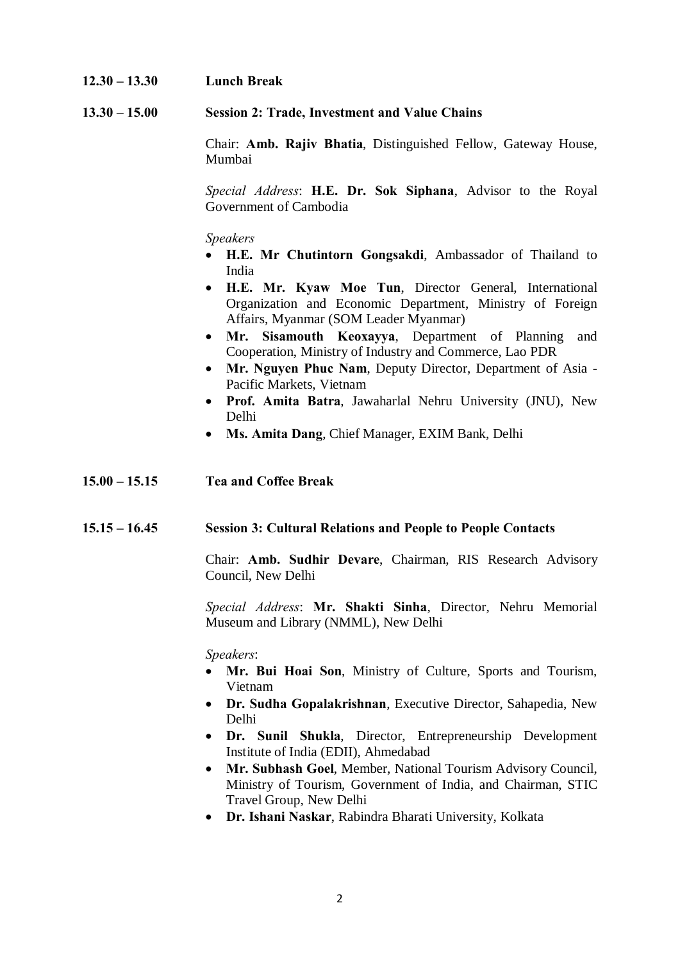### **12.30 – 13.30 Lunch Break**

#### **13.30 – 15.00 Session 2: Trade, Investment and Value Chains**

Chair: **Amb. Rajiv Bhatia**, Distinguished Fellow, Gateway House, Mumbai

*Special Address*: **H.E. Dr. Sok Siphana**, Advisor to the Royal Government of Cambodia

*Speakers*

- · **H.E. Mr Chutintorn Gongsakdi**, Ambassador of Thailand to India
- · **H.E. Mr. Kyaw Moe Tun**, Director General, International Organization and Economic Department, Ministry of Foreign Affairs, Myanmar (SOM Leader Myanmar)
- · **Mr. Sisamouth Keoxayya**, Department of Planning and Cooperation, Ministry of Industry and Commerce, Lao PDR
- · **Mr. Nguyen Phuc Nam**, Deputy Director, Department of Asia Pacific Markets, Vietnam
- · **Prof. Amita Batra**, Jawaharlal Nehru University (JNU), New Delhi
- · **Ms. Amita Dang**, Chief Manager, EXIM Bank, Delhi

#### **15.00 – 15.15 Tea and Coffee Break**

#### **15.15 – 16.45 Session 3: Cultural Relations and People to People Contacts**

Chair: **Amb. Sudhir Devare**, Chairman, RIS Research Advisory Council, New Delhi

*Special Address*: **Mr. Shakti Sinha**, Director, Nehru Memorial Museum and Library (NMML), New Delhi

*Speakers*:

- · **Mr. Bui Hoai Son**, Ministry of Culture, Sports and Tourism, Vietnam
- · **Dr. Sudha Gopalakrishnan**, Executive Director, Sahapedia, New Delhi
- · **Dr. Sunil Shukla**, Director, Entrepreneurship Development Institute of India (EDII), Ahmedabad
- · **Mr. Subhash Goel**, Member, National Tourism Advisory Council, Ministry of Tourism, Government of India, and Chairman, STIC Travel Group, New Delhi
- · **Dr. Ishani Naskar**, Rabindra Bharati University, Kolkata